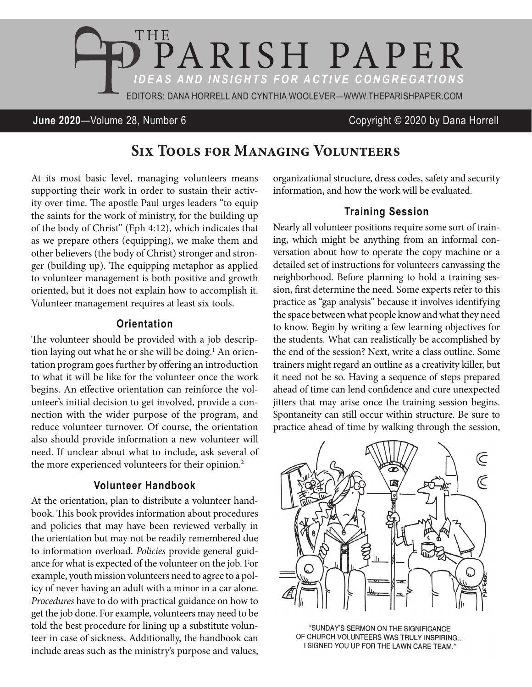

#### **June 2020**—Volume 28, Number 6 Copyright © 2020 by Dana Horrell

# **Six Tools for Managing Volunteers**

At its most basic level, managing volunteers means supporting their work in order to sustain their activity over time. The apostle Paul urges leaders "to equip the saints for the work of ministry, for the building up of the body of Christ" (Eph 4:12), which indicates that as we prepare others (equipping), we make them and other believers (the body of Christ) stronger and stronger (building up). The equipping metaphor as applied to volunteer management is both positive and growth oriented, but it does not explain how to accomplish it. Volunteer management requires at least six tools.

#### **Orientation**

The volunteer should be provided with a job description laying out what he or she will be doing.<sup>1</sup> An orientation program goes further by offering an introduction to what it will be like for the volunteer once the work begins. An effective orientation can reinforce the volunteer's initial decision to get involved, provide a connection with the wider purpose of the program, and reduce volunteer turnover. Of course, the orientation also should provide information a new volunteer will need. If unclear about what to include, ask several of the more experienced volunteers for their opinion.<sup>2</sup>

#### **Volunteer Handbook**

At the orientation, plan to distribute a volunteer handbook. This book provides information about procedures and policies that may have been reviewed verbally in the orientation but may not be readily remembered due to information overload. *Policies* provide general guidance for what is expected of the volunteer on the job. For example, youth mission volunteers need to agree to a policy of never having an adult with a minor in a car alone. *Procedures* have to do with practical guidance on how to get the job done. For example, volunteers may need to be told the best procedure for lining up a substitute volunteer in case of sickness. Additionally, the handbook can include areas such as the ministry's purpose and values,

organizational structure, dress codes, safety and security information, and how the work will be evaluated.

#### **Training Session**

Nearly all volunteer positions require some sort of training, which might be anything from an informal conversation about how to operate the copy machine or a detailed set of instructions for volunteers canvassing the neighborhood. Before planning to hold a training session, first determine the need. Some experts refer to this practice as "gap analysis" because it involves identifying the space between what people know and what they need to know. Begin by writing a few learning objectives for the students. What can realistically be accomplished by the end of the session? Next, write a class outline. Some trainers might regard an outline as a creativity killer, but it need not be so. Having a sequence of steps prepared ahead of time can lend confidence and cure unexpected jitters that may arise once the training session begins. Spontaneity can still occur within structure. Be sure to practice ahead of time by walking through the session,



'SUNDAY'S SERMON ON THE SIGNIFICANCE OF CHURCH VOLUNTEERS WAS TRULY INSPIRING... I SIGNED YOU UP FOR THE LAWN CARE TEAM."